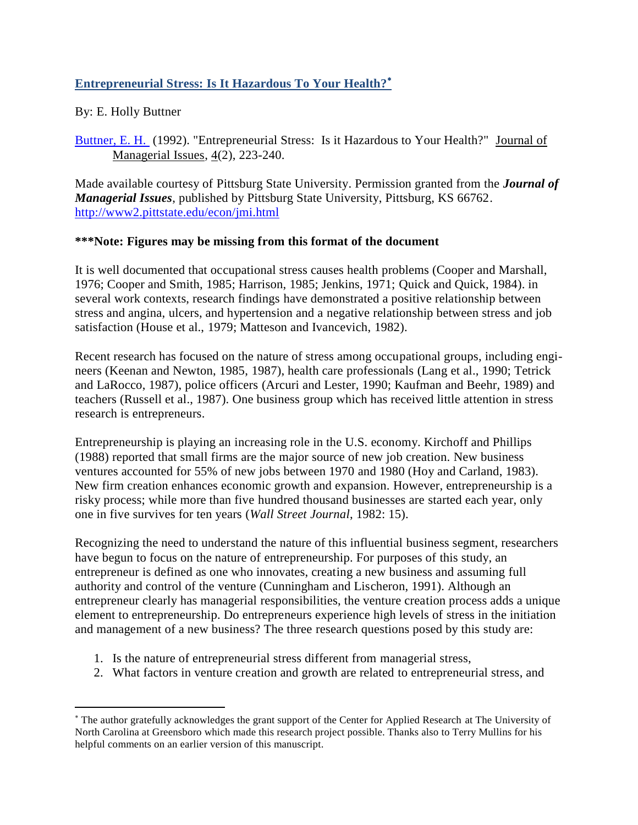# **Entrepreneurial Stress: Is It Hazardous To Your Health?**

## By: E. Holly Buttner

 $\overline{a}$ 

[Buttner, E. H.](http://libres.uncg.edu/ir/uncg/clist.aspx?id=837) (1992). "Entrepreneurial Stress: Is it Hazardous to Your Health?" Journal of Managerial Issues, 4(2), 223-240.

Made available courtesy of Pittsburg State University. Permission granted from the *Journal of Managerial Issues*, published by Pittsburg State University, Pittsburg, KS 66762. <http://www2.pittstate.edu/econ/jmi.html>

## **\*\*\*Note: Figures may be missing from this format of the document**

It is well documented that occupational stress causes health problems (Cooper and Marshall, 1976; Cooper and Smith, 1985; Harrison, 1985; Jenkins, 1971; Quick and Quick, 1984). in several work contexts, research findings have demonstrated a positive relationship between stress and angina, ulcers, and hypertension and a negative relationship between stress and job satisfaction (House et al., 1979; Matteson and Ivancevich, 1982).

Recent research has focused on the nature of stress among occupational groups, including engineers (Keenan and Newton, 1985, 1987), health care professionals (Lang et al., 1990; Tetrick and LaRocco, 1987), police officers (Arcuri and Lester, 1990; Kaufman and Beehr, 1989) and teachers (Russell et al., 1987). One business group which has received little attention in stress research is entrepreneurs.

Entrepreneurship is playing an increasing role in the U.S. economy. Kirchoff and Phillips (1988) reported that small firms are the major source of new job creation. New business ventures accounted for 55% of new jobs between 1970 and 1980 (Hoy and Carland, 1983). New firm creation enhances economic growth and expansion. However, entrepreneurship is a risky process; while more than five hundred thousand businesses are started each year, only one in five survives for ten years (*Wall Street Journal*, 1982: 15).

Recognizing the need to understand the nature of this influential business segment, researchers have begun to focus on the nature of entrepreneurship. For purposes of this study, an entrepreneur is defined as one who innovates, creating a new business and assuming full authority and control of the venture (Cunningham and Lischeron, 1991). Although an entrepreneur clearly has managerial responsibilities, the venture creation process adds a unique element to entrepreneurship. Do entrepreneurs experience high levels of stress in the initiation and management of a new business? The three research questions posed by this study are:

- 1. Is the nature of entrepreneurial stress different from managerial stress,
- 2. What factors in venture creation and growth are related to entrepreneurial stress, and

The author gratefully acknowledges the grant support of the Center for Applied Research at The University of North Carolina at Greensboro which made this research project possible. Thanks also to Terry Mullins for his helpful comments on an earlier version of this manuscript.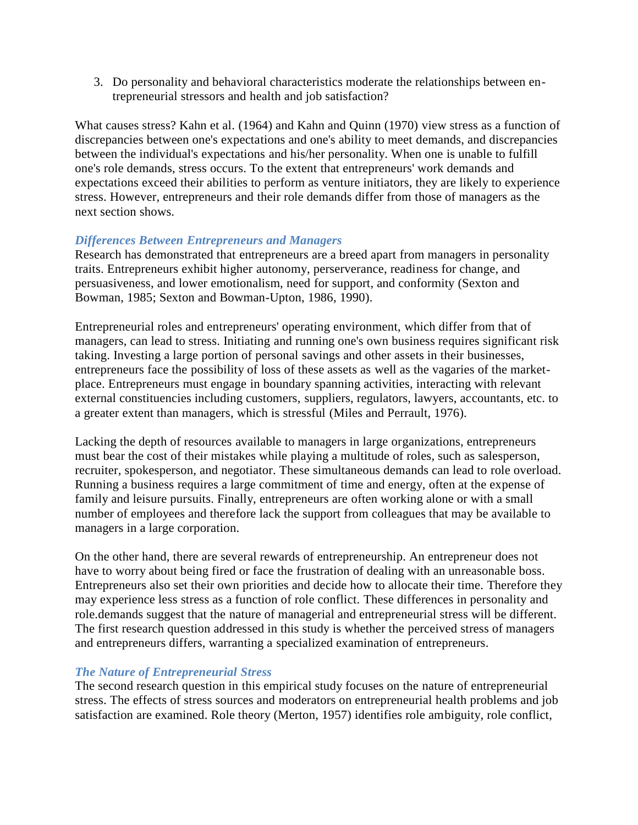3. Do personality and behavioral characteristics moderate the relationships between entrepreneurial stressors and health and job satisfaction?

What causes stress? Kahn et al. (1964) and Kahn and Quinn (1970) view stress as a function of discrepancies between one's expectations and one's ability to meet demands, and discrepancies between the individual's expectations and his/her personality. When one is unable to fulfill one's role demands, stress occurs. To the extent that entrepreneurs' work demands and expectations exceed their abilities to perform as venture initiators, they are likely to experience stress. However, entrepreneurs and their role demands differ from those of managers as the next section shows.

## *Differences Between Entrepreneurs and Managers*

Research has demonstrated that entrepreneurs are a breed apart from managers in personality traits. Entrepreneurs exhibit higher autonomy, perserverance, readiness for change, and persuasiveness, and lower emotionalism, need for support, and conformity (Sexton and Bowman, 1985; Sexton and Bowman-Upton, 1986, 1990).

Entrepreneurial roles and entrepreneurs' operating environment, which differ from that of managers, can lead to stress. Initiating and running one's own business requires significant risk taking. Investing a large portion of personal savings and other assets in their businesses, entrepreneurs face the possibility of loss of these assets as well as the vagaries of the marketplace. Entrepreneurs must engage in boundary spanning activities, interacting with relevant external constituencies including customers, suppliers, regulators, lawyers, accountants, etc. to a greater extent than managers, which is stressful (Miles and Perrault, 1976).

Lacking the depth of resources available to managers in large organizations, entrepreneurs must bear the cost of their mistakes while playing a multitude of roles, such as salesperson, recruiter, spokesperson, and negotiator. These simultaneous demands can lead to role overload. Running a business requires a large commitment of time and energy, often at the expense of family and leisure pursuits. Finally, entrepreneurs are often working alone or with a small number of employees and therefore lack the support from colleagues that may be available to managers in a large corporation.

On the other hand, there are several rewards of entrepreneurship. An entrepreneur does not have to worry about being fired or face the frustration of dealing with an unreasonable boss. Entrepreneurs also set their own priorities and decide how to allocate their time. Therefore they may experience less stress as a function of role conflict. These differences in personality and role.demands suggest that the nature of managerial and entrepreneurial stress will be different. The first research question addressed in this study is whether the perceived stress of managers and entrepreneurs differs, warranting a specialized examination of entrepreneurs.

### *The Nature of Entrepreneurial Stress*

The second research question in this empirical study focuses on the nature of entrepreneurial stress. The effects of stress sources and moderators on entrepreneurial health problems and job satisfaction are examined. Role theory (Merton, 1957) identifies role ambiguity, role conflict,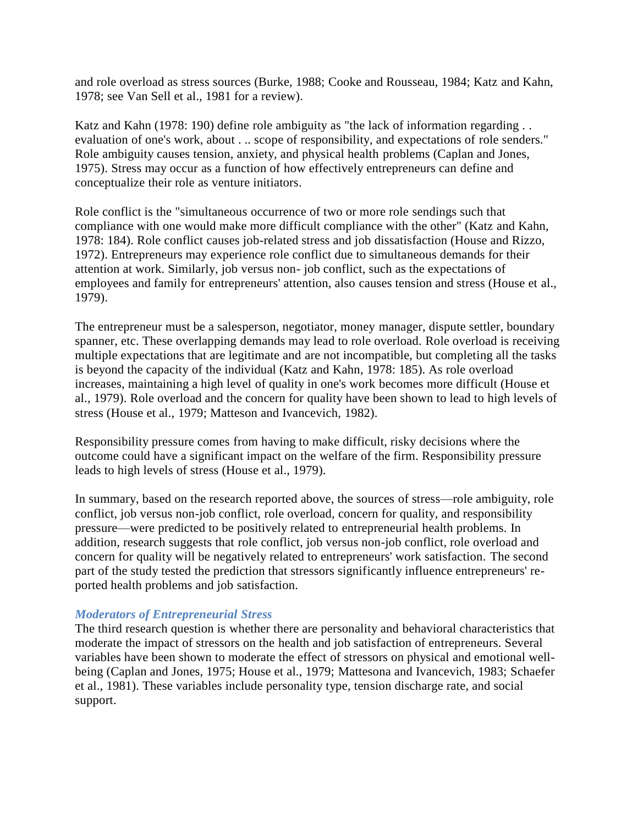and role overload as stress sources (Burke, 1988; Cooke and Rousseau, 1984; Katz and Kahn, 1978; see Van Sell et al., 1981 for a review).

Katz and Kahn (1978: 190) define role ambiguity as "the lack of information regarding . . evaluation of one's work, about . .. scope of responsibility, and expectations of role senders." Role ambiguity causes tension, anxiety, and physical health problems (Caplan and Jones, 1975). Stress may occur as a function of how effectively entrepreneurs can define and conceptualize their role as venture initiators.

Role conflict is the "simultaneous occurrence of two or more role sendings such that compliance with one would make more difficult compliance with the other" (Katz and Kahn, 1978: 184). Role conflict causes job-related stress and job dissatisfaction (House and Rizzo, 1972). Entrepreneurs may experience role conflict due to simultaneous demands for their attention at work. Similarly, job versus non- job conflict, such as the expectations of employees and family for entrepreneurs' attention, also causes tension and stress (House et al., 1979).

The entrepreneur must be a salesperson, negotiator, money manager, dispute settler, boundary spanner, etc. These overlapping demands may lead to role overload. Role overload is receiving multiple expectations that are legitimate and are not incompatible, but completing all the tasks is beyond the capacity of the individual (Katz and Kahn, 1978: 185). As role overload increases, maintaining a high level of quality in one's work becomes more difficult (House et al., 1979). Role overload and the concern for quality have been shown to lead to high levels of stress (House et al., 1979; Matteson and Ivancevich, 1982).

Responsibility pressure comes from having to make difficult, risky decisions where the outcome could have a significant impact on the welfare of the firm. Responsibility pressure leads to high levels of stress (House et al., 1979).

In summary, based on the research reported above, the sources of stress—role ambiguity, role conflict, job versus non-job conflict, role overload, concern for quality, and responsibility pressure—were predicted to be positively related to entrepreneurial health problems. In addition, research suggests that role conflict, job versus non-job conflict, role overload and concern for quality will be negatively related to entrepreneurs' work satisfaction. The second part of the study tested the prediction that stressors significantly influence entrepreneurs' reported health problems and job satisfaction.

### *Moderators of Entrepreneurial Stress*

The third research question is whether there are personality and behavioral characteristics that moderate the impact of stressors on the health and job satisfaction of entrepreneurs. Several variables have been shown to moderate the effect of stressors on physical and emotional wellbeing (Caplan and Jones, 1975; House et al., 1979; Mattesona and Ivancevich, 1983; Schaefer et al., 1981). These variables include personality type, tension discharge rate, and social support.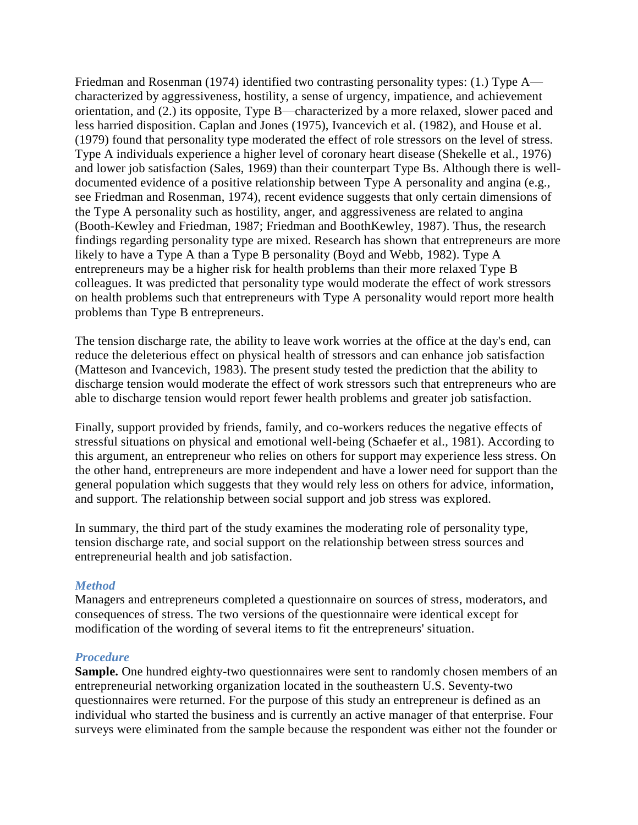Friedman and Rosenman (1974) identified two contrasting personality types: (1.) Type A characterized by aggressiveness, hostility, a sense of urgency, impatience, and achievement orientation, and (2.) its opposite, Type B—characterized by a more relaxed, slower paced and less harried disposition. Caplan and Jones (1975), Ivancevich et al. (1982), and House et al. (1979) found that personality type moderated the effect of role stressors on the level of stress. Type A individuals experience a higher level of coronary heart disease (Shekelle et al., 1976) and lower job satisfaction (Sales, 1969) than their counterpart Type Bs. Although there is welldocumented evidence of a positive relationship between Type A personality and angina (e.g., see Friedman and Rosenman, 1974), recent evidence suggests that only certain dimensions of the Type A personality such as hostility, anger, and aggressiveness are related to angina (Booth-Kewley and Friedman, 1987; Friedman and BoothKewley, 1987). Thus, the research findings regarding personality type are mixed. Research has shown that entrepreneurs are more likely to have a Type A than a Type B personality (Boyd and Webb, 1982). Type A entrepreneurs may be a higher risk for health problems than their more relaxed Type B colleagues. It was predicted that personality type would moderate the effect of work stressors on health problems such that entrepreneurs with Type A personality would report more health problems than Type B entrepreneurs.

The tension discharge rate, the ability to leave work worries at the office at the day's end, can reduce the deleterious effect on physical health of stressors and can enhance job satisfaction (Matteson and Ivancevich, 1983). The present study tested the prediction that the ability to discharge tension would moderate the effect of work stressors such that entrepreneurs who are able to discharge tension would report fewer health problems and greater job satisfaction.

Finally, support provided by friends, family, and co-workers reduces the negative effects of stressful situations on physical and emotional well-being (Schaefer et al., 1981). According to this argument, an entrepreneur who relies on others for support may experience less stress. On the other hand, entrepreneurs are more independent and have a lower need for support than the general population which suggests that they would rely less on others for advice, information, and support. The relationship between social support and job stress was explored.

In summary, the third part of the study examines the moderating role of personality type, tension discharge rate, and social support on the relationship between stress sources and entrepreneurial health and job satisfaction.

### *Method*

Managers and entrepreneurs completed a questionnaire on sources of stress, moderators, and consequences of stress. The two versions of the questionnaire were identical except for modification of the wording of several items to fit the entrepreneurs' situation.

### *Procedure*

**Sample.** One hundred eighty-two questionnaires were sent to randomly chosen members of an entrepreneurial networking organization located in the southeastern U.S. Seventy-two questionnaires were returned. For the purpose of this study an entrepreneur is defined as an individual who started the business and is currently an active manager of that enterprise. Four surveys were eliminated from the sample because the respondent was either not the founder or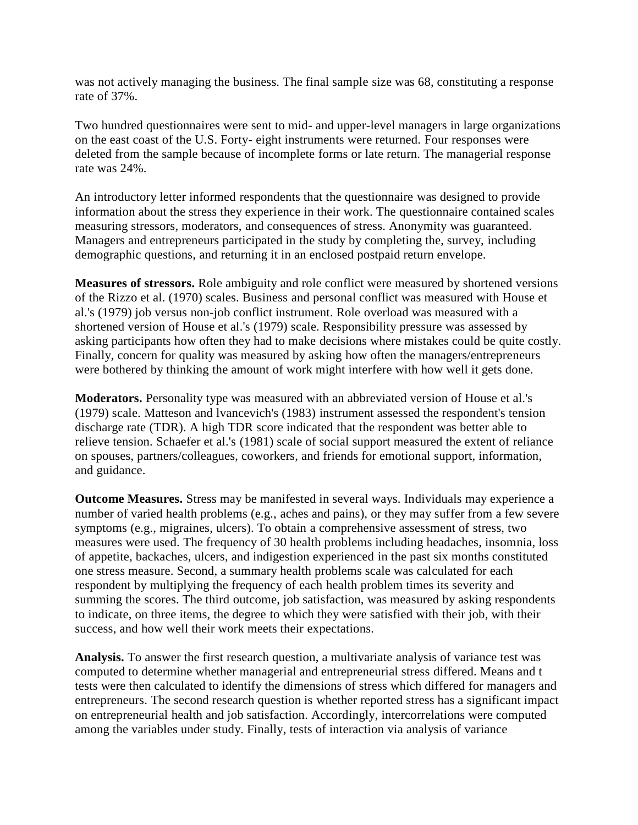was not actively managing the business. The final sample size was 68, constituting a response rate of 37%.

Two hundred questionnaires were sent to mid- and upper-level managers in large organizations on the east coast of the U.S. Forty- eight instruments were returned. Four responses were deleted from the sample because of incomplete forms or late return. The managerial response rate was 24%.

An introductory letter informed respondents that the questionnaire was designed to provide information about the stress they experience in their work. The questionnaire contained scales measuring stressors, moderators, and consequences of stress. Anonymity was guaranteed. Managers and entrepreneurs participated in the study by completing the, survey, including demographic questions, and returning it in an enclosed postpaid return envelope.

**Measures of stressors.** Role ambiguity and role conflict were measured by shortened versions of the Rizzo et al. (1970) scales. Business and personal conflict was measured with House et al.'s (1979) job versus non-job conflict instrument. Role overload was measured with a shortened version of House et al.'s (1979) scale. Responsibility pressure was assessed by asking participants how often they had to make decisions where mistakes could be quite costly. Finally, concern for quality was measured by asking how often the managers/entrepreneurs were bothered by thinking the amount of work might interfere with how well it gets done.

**Moderators.** Personality type was measured with an abbreviated version of House et al.'s (1979) scale. Matteson and lvancevich's (1983) instrument assessed the respondent's tension discharge rate (TDR). A high TDR score indicated that the respondent was better able to relieve tension. Schaefer et al.'s (1981) scale of social support measured the extent of reliance on spouses, partners/colleagues, coworkers, and friends for emotional support, information, and guidance.

**Outcome Measures.** Stress may be manifested in several ways. Individuals may experience a number of varied health problems (e.g., aches and pains), or they may suffer from a few severe symptoms (e.g., migraines, ulcers). To obtain a comprehensive assessment of stress, two measures were used. The frequency of 30 health problems including headaches, insomnia, loss of appetite, backaches, ulcers, and indigestion experienced in the past six months constituted one stress measure. Second, a summary health problems scale was calculated for each respondent by multiplying the frequency of each health problem times its severity and summing the scores. The third outcome, job satisfaction, was measured by asking respondents to indicate, on three items, the degree to which they were satisfied with their job, with their success, and how well their work meets their expectations.

**Analysis.** To answer the first research question, a multivariate analysis of variance test was computed to determine whether managerial and entrepreneurial stress differed. Means and t tests were then calculated to identify the dimensions of stress which differed for managers and entrepreneurs. The second research question is whether reported stress has a significant impact on entrepreneurial health and job satisfaction. Accordingly, intercorrelations were computed among the variables under study. Finally, tests of interaction via analysis of variance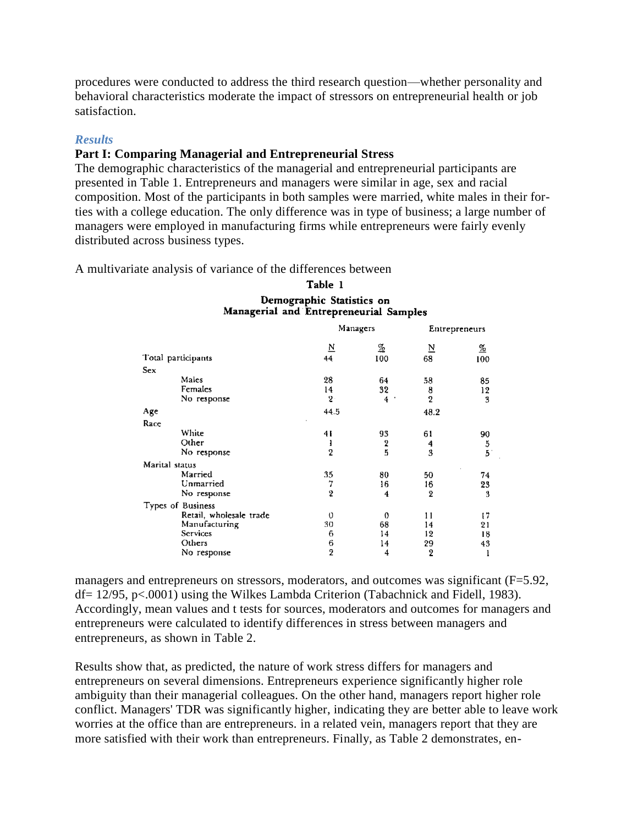procedures were conducted to address the third research question—whether personality and behavioral characteristics moderate the impact of stressors on entrepreneurial health or job satisfaction.

#### *Results*

## **Part I: Comparing Managerial and Entrepreneurial Stress**

The demographic characteristics of the managerial and entrepreneurial participants are presented in Table 1. Entrepreneurs and managers were similar in age, sex and racial composition. Most of the participants in both samples were married, white males in their forties with a college education. The only difference was in type of business; a large number of managers were employed in manufacturing firms while entrepreneurs were fairly evenly distributed across business types.

A multivariate analysis of variance of the differences between

| manageriar anu Entrepreneuriar Sampies |                         |                 |                         |          |
|----------------------------------------|-------------------------|-----------------|-------------------------|----------|
|                                        |                         | Managers        | Entrepreneurs           |          |
|                                        | $\overline{\mathsf{N}}$ | $\frac{\%}{\%}$ | $\overline{\mathbf{N}}$ | <u>%</u> |
| Total participants                     | 44                      | 100             | 68                      | 100      |
| Sex                                    |                         |                 |                         |          |
| Males                                  | 28                      | 64              | 58                      | 85       |
| Females                                | 14                      | 32              | 8                       | 12       |
| No response                            | $2 -$                   | 4               | $\overline{2}$          | 3        |
| Age                                    | 44.5                    |                 | 48.2                    |          |
| Race                                   |                         |                 |                         |          |
| White                                  | 4 I                     | 93              | 61                      | 90       |
| Other                                  | l                       | 2<br>5          | 4                       | 5        |
| No response                            | $\overline{2}$          |                 | 3                       | 5        |
| Marital status                         |                         |                 |                         |          |
| Married                                | 35                      | 80              | 50                      | 74       |
| Unmarried                              | 7                       | 16              | 16                      | 23       |
| No response                            | $\overline{\mathbf{2}}$ | 4               | 2                       | 3        |
| Types of Business                      |                         |                 |                         |          |
| Retail, wholesale trade                | 0                       | 0               | 11                      | ţ7       |
| Manufacturing                          | 30                      | 68              | 14                      | 21       |
| Services                               | 6                       | 14              | 12                      | 18       |
| Others                                 | 6                       | 14              | 29                      | 43       |
| No response                            | 2                       | 4               | 2                       | ł        |

#### Table 1 Demographic Statistics on  $M$ anazarial and  $\mathbf{\hat{F}}$ utranazarial  $\mathbf{\hat{S}}$

managers and entrepreneurs on stressors, moderators, and outcomes was significant (F=5.92, df= 12/95, p<.0001) using the Wilkes Lambda Criterion (Tabachnick and Fidell, 1983). Accordingly, mean values and t tests for sources, moderators and outcomes for managers and entrepreneurs were calculated to identify differences in stress between managers and entrepreneurs, as shown in Table 2.

Results show that, as predicted, the nature of work stress differs for managers and entrepreneurs on several dimensions. Entrepreneurs experience significantly higher role ambiguity than their managerial colleagues. On the other hand, managers report higher role conflict. Managers' TDR was significantly higher, indicating they are better able to leave work worries at the office than are entrepreneurs. in a related vein, managers report that they are more satisfied with their work than entrepreneurs. Finally, as Table 2 demonstrates, en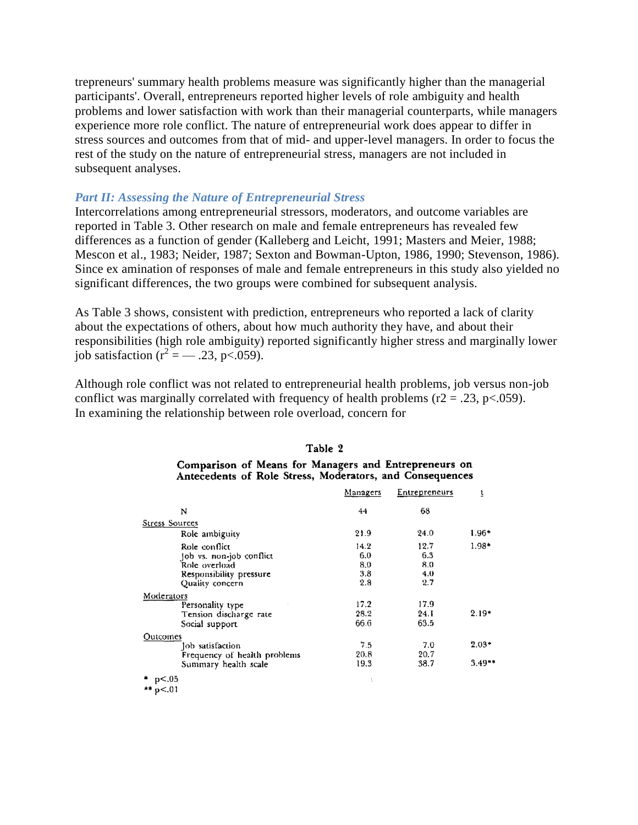trepreneurs' summary health problems measure was significantly higher than the managerial participants'. Overall, entrepreneurs reported higher levels of role ambiguity and health problems and lower satisfaction with work than their managerial counterparts, while managers experience more role conflict. The nature of entrepreneurial work does appear to differ in stress sources and outcomes from that of mid- and upper-level managers. In order to focus the rest of the study on the nature of entrepreneurial stress, managers are not included in subsequent analyses.

#### *Part II: Assessing the Nature of Entrepreneurial Stress*

Intercorrelations among entrepreneurial stressors, moderators, and outcome variables are reported in Table 3. Other research on male and female entrepreneurs has revealed few differences as a function of gender (Kalleberg and Leicht, 1991; Masters and Meier, 1988; Mescon et al., 1983; Neider, 1987; Sexton and Bowman-Upton, 1986, 1990; Stevenson, 1986). Since ex amination of responses of male and female entrepreneurs in this study also yielded no significant differences, the two groups were combined for subsequent analysis.

As Table 3 shows, consistent with prediction, entrepreneurs who reported a lack of clarity about the expectations of others, about how much authority they have, and about their responsibilities (high role ambiguity) reported significantly higher stress and marginally lower job satisfaction ( $r^2 = -.23$ , p<.059).

Although role conflict was not related to entrepreneurial health problems, job versus non-job conflict was marginally correlated with frequency of health problems ( $r2 = .23$ ,  $p < .059$ ). In examining the relationship between role overload, concern for

|                              | Managers | Entrepreneurs | ī        |
|------------------------------|----------|---------------|----------|
| N                            | 44       | 68            |          |
| Stress Sources               |          |               |          |
| Role ambiguity               | 21.9     | 24.0          | $1.96*$  |
| Role conflict                | 14.2     | 12.7          | $1.98*$  |
| Job vs. non-job conflict     | 6.0      | 6.3           |          |
| Role overload                | 8.0      | 8.0           |          |
| Responsibility pressure      | 3.8      | 4.0           |          |
| Quality concern              | 2.8      | 2.7           |          |
| Moderators                   |          |               |          |
| Personality type             | 17.2     | 17.9          |          |
| Tension discharge rate       | 28.2     | 24. I         | $2.19*$  |
| Social support               | 66.6     | 63.5          |          |
| Outcomes                     |          |               |          |
| Job satisfaction             | 7.5      | 7.0           | $2.03*$  |
| Frequency of health problems | 20.8     | 20.7          |          |
| Summary health scale         | 19.3     | 38.7          | $3.49**$ |
| * p<.05<br>** $p < 01$       |          |               |          |

### Table 2 Comparison of Means for Managers and Entrepreneurs on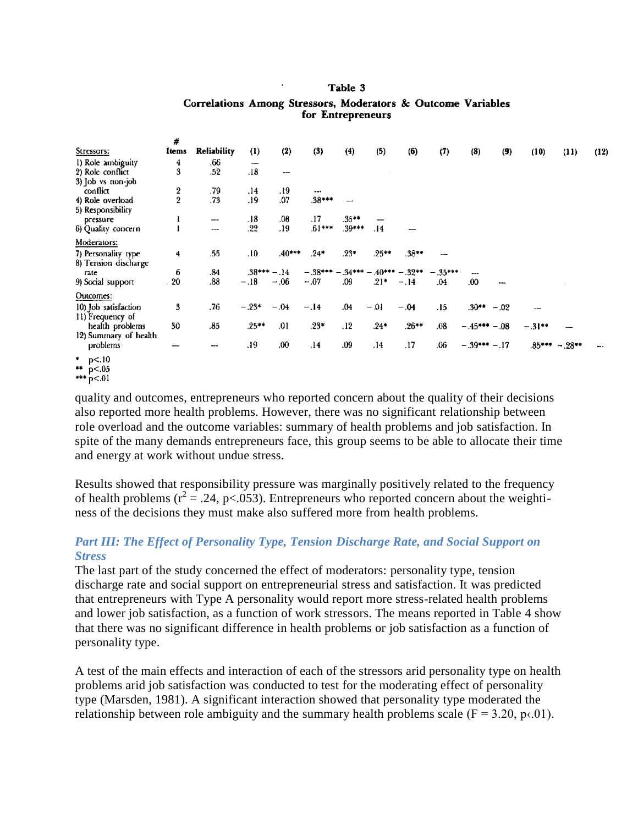#### Table 3

|                            | #             |             |                          |              |           |            |         |                 |           |               |        |         |                |      |
|----------------------------|---------------|-------------|--------------------------|--------------|-----------|------------|---------|-----------------|-----------|---------------|--------|---------|----------------|------|
| Stressors:                 | Items         | Reliability | $\bf(1)$                 | (2)          | (3)       | (4)        | (5)     | (6)             | (7)       | (8)           | (9)    | (10)    | (11)           | (12) |
| 1) Role ambiguity          | 4             | .66         | $\overline{\phantom{0}}$ |              |           |            |         |                 |           |               |        |         |                |      |
| 2) Role conflict           | 3             | .52         | .18                      | <b>***</b>   |           |            |         |                 |           |               |        |         |                |      |
| 3) Job vs non-job          |               |             |                          |              |           |            |         |                 |           |               |        |         |                |      |
| conflict                   | $\frac{2}{2}$ | .79         | .14                      | -91.         | $\cdots$  |            |         |                 |           |               |        |         |                |      |
| 4) Role overload           |               | .73         | .19                      | .07          | $.38***$  |            |         |                 |           |               |        |         |                |      |
| 5) Responsibility          |               |             |                          |              |           |            |         |                 |           |               |        |         |                |      |
| pressure                   | ì             | --          | .18                      | .08          | .17       | $.35***$   |         |                 |           |               |        |         |                |      |
| 6) Quality concern         |               | $- - -$     | .22                      | .19          | $.61***$  | .39***     | .14     |                 |           |               |        |         |                |      |
| Moderators:                |               |             |                          |              |           |            |         |                 |           |               |        |         |                |      |
| 7) Personality type        | 4             | .55         | .10                      | $.40***$     | $.24*$    | .23*       | $.25**$ | $.38**$         |           |               |        |         |                |      |
| 8) Tension discharge       |               |             |                          |              |           |            |         |                 |           |               |        |         |                |      |
| rate                       | 6             | .84         |                          | $.38***-.14$ | $-.38***$ | $.34***$ - |         | $.40***-.32***$ | $-.35***$ |               |        |         |                |      |
| 9) Social support          | 20            | .88         | $-.18$                   | $-.06$       | $-.07$    | .09        | $.21*$  | $-.14$          | .04       | 00            |        |         |                |      |
| Outcomes:                  |               |             |                          |              |           |            |         |                 |           |               |        |         |                |      |
| 10) Job satisfaction       | 3             | .76         | $-.23*$                  | $-.04$       | $-.14$    | .04        | $-.01$  | $-.04$          | .15       | $.30***$      | $-.02$ | ---     |                |      |
| 11) Frequency of           |               |             |                          |              |           |            |         |                 |           |               |        |         |                |      |
| health problems            | 30            | .85         | $.25***$                 | .01          | $.23*$    | .12        | .24*    | $.26***$        | .08       | $-.45***-.08$ |        | $-31**$ |                |      |
| 12) Summary of health      |               |             |                          |              |           |            |         |                 |           |               |        |         |                |      |
| problems                   |               |             | .19                      | .00.         | .14       | .09        | .14     | .17             | .06       | $-.39***-.17$ |        |         | $.85***-.28**$ |      |
| * $p<.10$<br>** $p < 0.05$ |               |             |                          |              |           |            |         |                 |           |               |        |         |                |      |

#### Correlations Among Stressors, Moderators & Outcome Variables for Entrepreneurs

\*\*\*  $p < 01$ 

quality and outcomes, entrepreneurs who reported concern about the quality of their decisions also reported more health problems. However, there was no significant relationship between role overload and the outcome variables: summary of health problems and job satisfaction. In spite of the many demands entrepreneurs face, this group seems to be able to allocate their time and energy at work without undue stress.

Results showed that responsibility pressure was marginally positively related to the frequency of health problems  $(r^2 = .24, p < .053)$ . Entrepreneurs who reported concern about the weightiness of the decisions they must make also suffered more from health problems.

## *Part III: The Effect of Personality Type, Tension Discharge Rate, and Social Support on Stress*

The last part of the study concerned the effect of moderators: personality type, tension discharge rate and social support on entrepreneurial stress and satisfaction. It was predicted that entrepreneurs with Type A personality would report more stress-related health problems and lower job satisfaction, as a function of work stressors. The means reported in Table 4 show that there was no significant difference in health problems or job satisfaction as a function of personality type.

A test of the main effects and interaction of each of the stressors arid personality type on health problems arid job satisfaction was conducted to test for the moderating effect of personality type (Marsden, 1981). A significant interaction showed that personality type moderated the relationship between role ambiguity and the summary health problems scale ( $F = 3.20$ ,  $p \times 01$ ).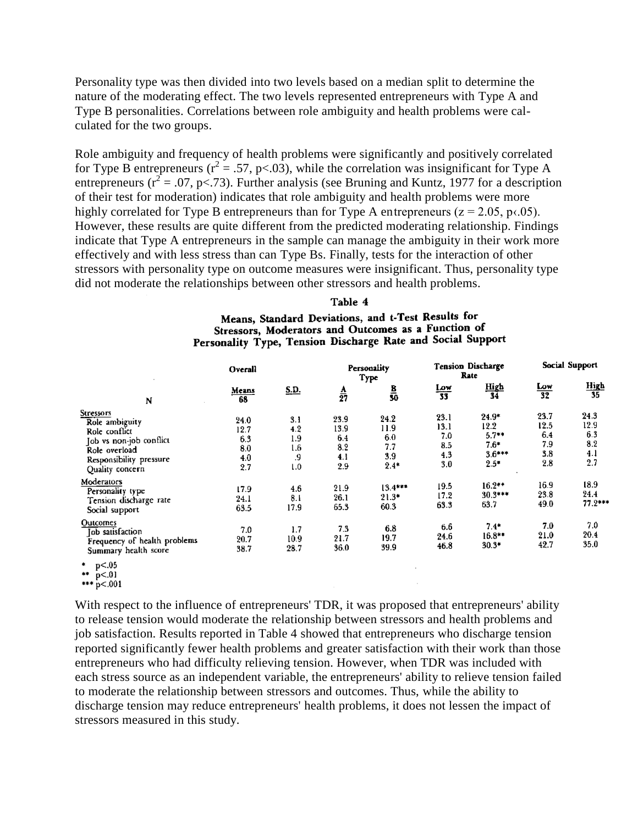Personality type was then divided into two levels based on a median split to determine the nature of the moderating effect. The two levels represented entrepreneurs with Type A and Type B personalities. Correlations between role ambiguity and health problems were calculated for the two groups.

Role ambiguity and frequency of health problems were significantly and positively correlated for Type B entrepreneurs ( $r^2 = .57$ , p<.03), while the correlation was insignificant for Type A entrepreneurs ( $r^2 = .07$ , p<.73). Further analysis (see Bruning and Kuntz, 1977 for a description of their test for moderation) indicates that role ambiguity and health problems were more highly correlated for Type B entrepreneurs than for Type A entrepreneurs ( $z = 2.05$ ,  $p \times 0.05$ ). However, these results are quite different from the predicted moderating relationship. Findings indicate that Type A entrepreneurs in the sample can manage the ambiguity in their work more effectively and with less stress than can Type Bs. Finally, tests for the interaction of other stressors with personality type on outcome measures were insignificant. Thus, personality type did not moderate the relationships between other stressors and health problems.

#### Table 4

Means, Standard Deviations, and t-Test Results for Stressors, Moderators and Outcomes as a Function of Personality Type, Tension Discharge Rate and Social Support

| Overall                                                                                                                                       |                                          |                                       |                                          | Personality<br>Type                         |                                          | <b>Tension Discharge</b><br>Rate                           | Social Support                           |                                          |
|-----------------------------------------------------------------------------------------------------------------------------------------------|------------------------------------------|---------------------------------------|------------------------------------------|---------------------------------------------|------------------------------------------|------------------------------------------------------------|------------------------------------------|------------------------------------------|
| N                                                                                                                                             | Means<br>68                              | <u>S.D.</u>                           | $\frac{A}{27}$                           | $\frac{B}{30}$                              | $\frac{Low}{33}$                         | High<br>34                                                 | $\frac{Low}{32}$                         | $\frac{High}{35}$                        |
| <b>Stressors</b><br>Role ambiguity<br>Role conflict<br>Job vs non-job conflict<br>Role overload<br>Responsibility pressure<br>Quality concern | 24.0<br>12.7<br>6.3<br>8.0<br>4.0<br>2.7 | 3.1<br>4.2<br>1.9<br>1.6<br>.9<br>1.0 | 23.9<br>13.9<br>6.4<br>8.2<br>4.1<br>2.9 | 24.2<br>11.9<br>6.0<br>7.7<br>3.9<br>$2.4*$ | 23.1<br>13.1<br>7.0<br>8.5<br>4.3<br>3.0 | $24.9*$<br>12.2<br>$5.7**$<br>$7.6*$<br>$3.6***$<br>$2.5*$ | 23.7<br>12.5<br>6.4<br>7.9<br>3.8<br>2.8 | 24.3<br>12.9<br>6.3<br>8.2<br>4.1<br>2.7 |
| Moderators<br>Personality type<br>Tension discharge rate<br>Social support                                                                    | 17.9<br>24.1<br>63.5                     | 4.6<br>8.1<br>17.9                    | 21.9<br>26.1<br>65.3                     | $13.4***$<br>$21.3*$<br>60.3                | 19.5<br>17.2<br>63.3                     | $16.2**$<br>$30.3***$<br>63.7                              | 16.9<br>23.8<br>49.0                     | 18.9<br>24.4<br>$77.2***$                |
| Outcomes<br><b>Job</b> satisfaction<br>Frequency of health problems<br>Summary health score                                                   | 7.0<br>20.7<br>38.7                      | 1.7<br>10.9<br>28.7                   | 7.3<br>21.7<br>36.0                      | 6.8<br>19.7<br>39.9                         | 6.6<br>24.6<br>46.8                      | $7.4*$<br>16.8**<br>$30.3*$                                | 7.0<br>21.0<br>42.7                      | 7.0<br>20.4<br>35.0                      |
| $*$ n $< 05$                                                                                                                                  |                                          |                                       |                                          |                                             |                                          |                                                            |                                          |                                          |

<sup>\*\*</sup>  $p<.01$ 

With respect to the influence of entrepreneurs' TDR, it was proposed that entrepreneurs' ability to release tension would moderate the relationship between stressors and health problems and job satisfaction. Results reported in Table 4 showed that entrepreneurs who discharge tension reported significantly fewer health problems and greater satisfaction with their work than those entrepreneurs who had difficulty relieving tension. However, when TDR was included with each stress source as an independent variable, the entrepreneurs' ability to relieve tension failed to moderate the relationship between stressors and outcomes. Thus, while the ability to discharge tension may reduce entrepreneurs' health problems, it does not lessen the impact of stressors measured in this study.

<sup>\*\*\*</sup>  $p < .001$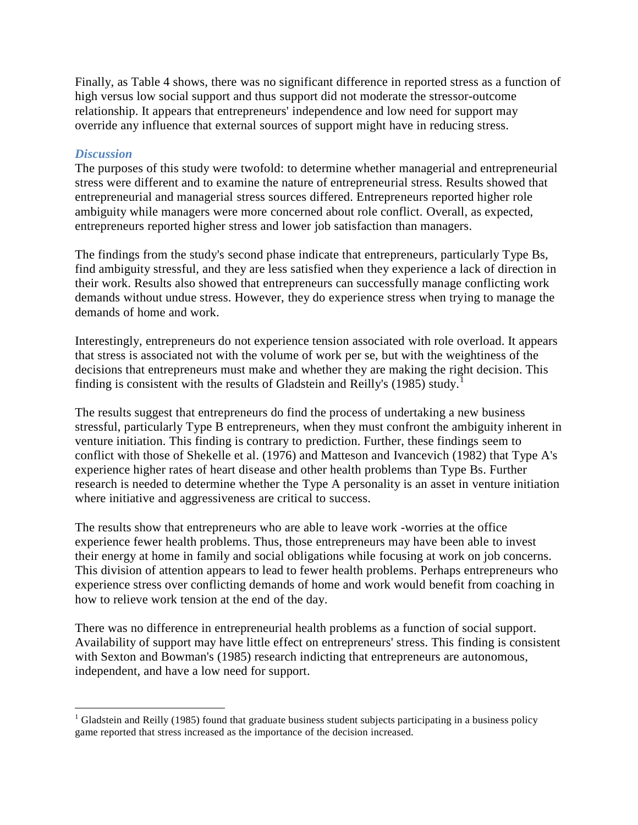Finally, as Table 4 shows, there was no significant difference in reported stress as a function of high versus low social support and thus support did not moderate the stressor-outcome relationship. It appears that entrepreneurs' independence and low need for support may override any influence that external sources of support might have in reducing stress.

## *Discussion*

 $\overline{a}$ 

The purposes of this study were twofold: to determine whether managerial and entrepreneurial stress were different and to examine the nature of entrepreneurial stress. Results showed that entrepreneurial and managerial stress sources differed. Entrepreneurs reported higher role ambiguity while managers were more concerned about role conflict. Overall, as expected, entrepreneurs reported higher stress and lower job satisfaction than managers.

The findings from the study's second phase indicate that entrepreneurs, particularly Type Bs, find ambiguity stressful, and they are less satisfied when they experience a lack of direction in their work. Results also showed that entrepreneurs can successfully manage conflicting work demands without undue stress. However, they do experience stress when trying to manage the demands of home and work.

Interestingly, entrepreneurs do not experience tension associated with role overload. It appears that stress is associated not with the volume of work per se, but with the weightiness of the decisions that entrepreneurs must make and whether they are making the right decision. This finding is consistent with the results of Gladstein and Reilly's (1985) study.<sup>1</sup>

The results suggest that entrepreneurs do find the process of undertaking a new business stressful, particularly Type B entrepreneurs, when they must confront the ambiguity inherent in venture initiation. This finding is contrary to prediction. Further, these findings seem to conflict with those of Shekelle et al. (1976) and Matteson and Ivancevich (1982) that Type A's experience higher rates of heart disease and other health problems than Type Bs. Further research is needed to determine whether the Type A personality is an asset in venture initiation where initiative and aggressiveness are critical to success.

The results show that entrepreneurs who are able to leave work -worries at the office experience fewer health problems. Thus, those entrepreneurs may have been able to invest their energy at home in family and social obligations while focusing at work on job concerns. This division of attention appears to lead to fewer health problems. Perhaps entrepreneurs who experience stress over conflicting demands of home and work would benefit from coaching in how to relieve work tension at the end of the day.

There was no difference in entrepreneurial health problems as a function of social support. Availability of support may have little effect on entrepreneurs' stress. This finding is consistent with Sexton and Bowman's (1985) research indicting that entrepreneurs are autonomous, independent, and have a low need for support.

<sup>&</sup>lt;sup>1</sup> Gladstein and Reilly (1985) found that graduate business student subjects participating in a business policy game reported that stress increased as the importance of the decision increased.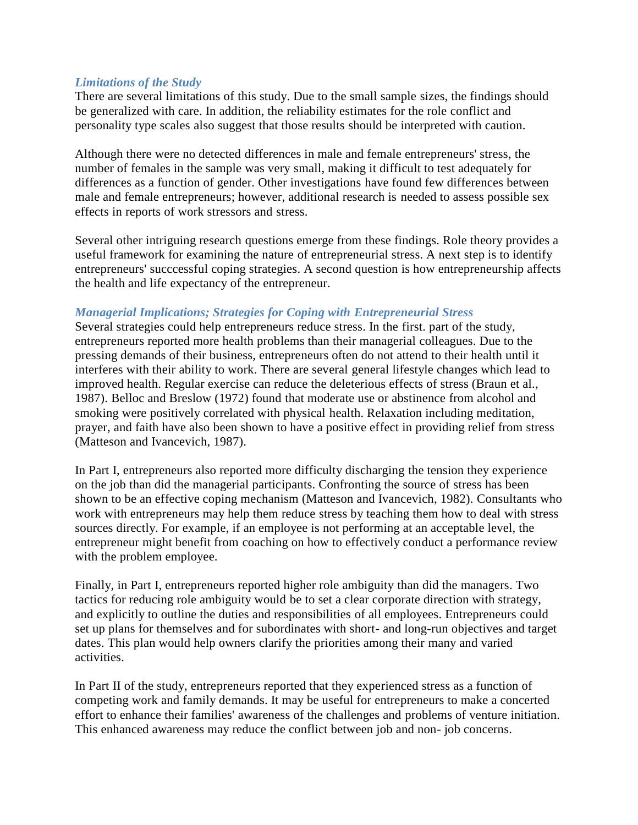## *Limitations of the Study*

There are several limitations of this study. Due to the small sample sizes, the findings should be generalized with care. In addition, the reliability estimates for the role conflict and personality type scales also suggest that those results should be interpreted with caution.

Although there were no detected differences in male and female entrepreneurs' stress, the number of females in the sample was very small, making it difficult to test adequately for differences as a function of gender. Other investigations have found few differences between male and female entrepreneurs; however, additional research is needed to assess possible sex effects in reports of work stressors and stress.

Several other intriguing research questions emerge from these findings. Role theory provides a useful framework for examining the nature of entrepreneurial stress. A next step is to identify entrepreneurs' succcessful coping strategies. A second question is how entrepreneurship affects the health and life expectancy of the entrepreneur.

## *Managerial Implications; Strategies for Coping with Entrepreneurial Stress*

Several strategies could help entrepreneurs reduce stress. In the first. part of the study, entrepreneurs reported more health problems than their managerial colleagues. Due to the pressing demands of their business, entrepreneurs often do not attend to their health until it interferes with their ability to work. There are several general lifestyle changes which lead to improved health. Regular exercise can reduce the deleterious effects of stress (Braun et al., 1987). Belloc and Breslow (1972) found that moderate use or abstinence from alcohol and smoking were positively correlated with physical health. Relaxation including meditation, prayer, and faith have also been shown to have a positive effect in providing relief from stress (Matteson and Ivancevich, 1987).

In Part I, entrepreneurs also reported more difficulty discharging the tension they experience on the job than did the managerial participants. Confronting the source of stress has been shown to be an effective coping mechanism (Matteson and Ivancevich, 1982). Consultants who work with entrepreneurs may help them reduce stress by teaching them how to deal with stress sources directly. For example, if an employee is not performing at an acceptable level, the entrepreneur might benefit from coaching on how to effectively conduct a performance review with the problem employee.

Finally, in Part I, entrepreneurs reported higher role ambiguity than did the managers. Two tactics for reducing role ambiguity would be to set a clear corporate direction with strategy, and explicitly to outline the duties and responsibilities of all employees. Entrepreneurs could set up plans for themselves and for subordinates with short- and long-run objectives and target dates. This plan would help owners clarify the priorities among their many and varied activities.

In Part II of the study, entrepreneurs reported that they experienced stress as a function of competing work and family demands. It may be useful for entrepreneurs to make a concerted effort to enhance their families' awareness of the challenges and problems of venture initiation. This enhanced awareness may reduce the conflict between job and non- job concerns.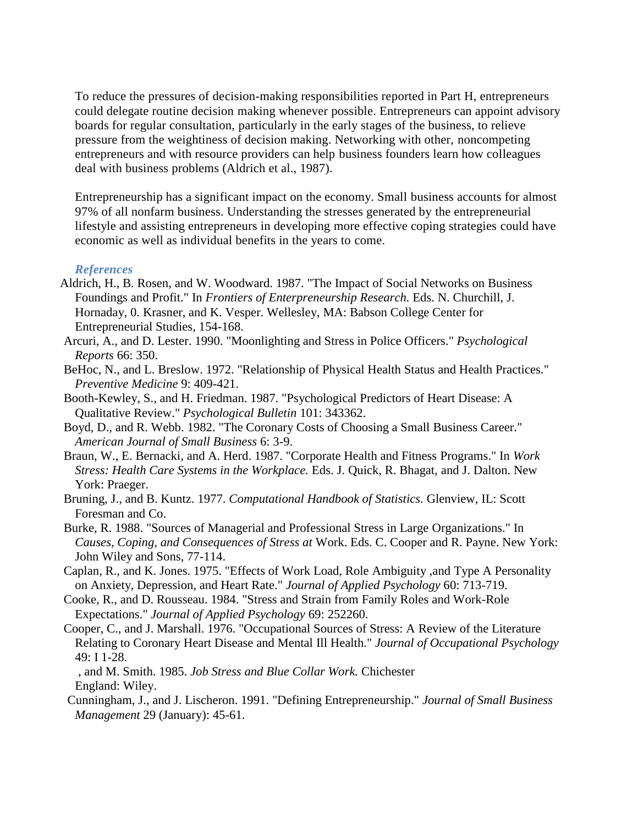To reduce the pressures of decision-making responsibilities reported in Part H, entrepreneurs could delegate routine decision making whenever possible. Entrepreneurs can appoint advisory boards for regular consultation, particularly in the early stages of the business, to relieve pressure from the weightiness of decision making. Networking with other, noncompeting entrepreneurs and with resource providers can help business founders learn how colleagues deal with business problems (Aldrich et al., 1987).

Entrepreneurship has a significant impact on the economy. Small business accounts for almost 97% of all nonfarm business. Understanding the stresses generated by the entrepreneurial lifestyle and assisting entrepreneurs in developing more effective coping strategies could have economic as well as individual benefits in the years to come.

#### *References*

- Aldrich, H., B. Rosen, and W. Woodward. 1987. "The Impact of Social Networks on Business Foundings and Profit." In *Frontiers of Enterpreneurship Research.* Eds. N. Churchill, J. Hornaday, 0. Krasner, and K. Vesper. Wellesley, MA: Babson College Center for Entrepreneurial Studies, 154-168.
- Arcuri, A., and D. Lester. 1990. "Moonlighting and Stress in Police Officers." *Psychological Reports* 66: 350.
- BeHoc, N., and L. Breslow. 1972. "Relationship of Physical Health Status and Health Practices." *Preventive Medicine* 9: 409-421.
- Booth-Kewley, S., and H. Friedman. 1987. "Psychological Predictors of Heart Disease: A Qualitative Review." *Psychological Bulletin* 101: 343362.
- Boyd, D., and R. Webb. 1982. "The Coronary Costs of Choosing a Small Business Career." *American Journal of Small Business* 6: 3-9.
- Braun, W., E. Bernacki, and A. Herd. 1987. "Corporate Health and Fitness Programs." In *Work Stress: Health Care Systems in the Workplace.* Eds. J. Quick, R. Bhagat, and J. Dalton. New York: Praeger.
- Bruning, J., and B. Kuntz. 1977. *Computational Handbook of Statistics.* Glenview, IL: Scott Foresman and Co.
- Burke, R. 1988. "Sources of Managerial and Professional Stress in Large Organizations." In *Causes, Coping, and Consequences of Stress at* Work. Eds. C. Cooper and R. Payne. New York: John Wiley and Sons, 77-114.
- Caplan, R., and K. Jones. 1975. "Effects of Work Load, Role Ambiguity ,and Type A Personality on Anxiety, Depression, and Heart Rate." *Journal of Applied Psychology* 60: 713-719.
- Cooke, R., and D. Rousseau. 1984. "Stress and Strain from Family Roles and Work-Role Expectations." *Journal of Applied Psychology* 69: 252260.
- Cooper, C., and J. Marshall. 1976. "Occupational Sources of Stress: A Review of the Literature Relating to Coronary Heart Disease and Mental Ill Health." *Journal of Occupational Psychology*  49: I 1-28.

, and M. Smith. 1985. *Job Stress and Blue Collar Work.* Chichester England: Wiley.

Cunningham, J., and J. Lischeron. 1991. "Defining Entrepreneurship." *Journal of Small Business Management* 29 (January): 45-61.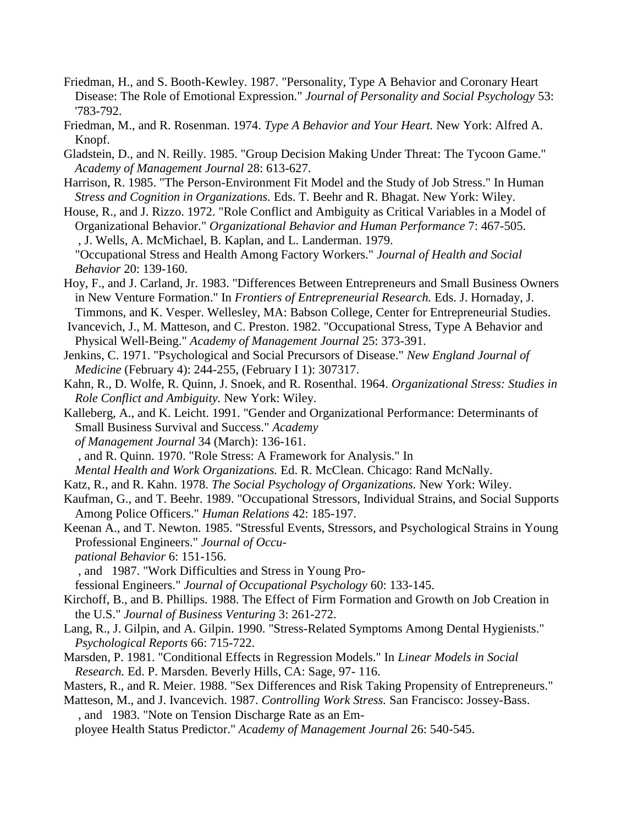- Friedman, H., and S. Booth-Kewley. 1987. "Personality, Type A Behavior and Coronary Heart Disease: The Role of Emotional Expression." *Journal of Personality and Social Psychology* 53: '783-792.
- Friedman, M., and R. Rosenman. 1974. *Type A Behavior and Your Heart.* New York: Alfred A. Knopf.
- Gladstein, D., and N. Reilly. 1985. "Group Decision Making Under Threat: The Tycoon Game." *Academy of Management Journal* 28: 613-627.
- Harrison, R. 1985. "The Person-Environment Fit Model and the Study of Job Stress." In Human *Stress and Cognition in Organizations.* Eds. T. Beehr and R. Bhagat. New York: Wiley.
- House, R., and J. Rizzo. 1972. "Role Conflict and Ambiguity as Critical Variables in a Model of Organizational Behavior." *Organizational Behavior and Human Performance* 7: 467-505. , J. Wells, A. McMichael, B. Kaplan, and L. Landerman. 1979. "Occupational Stress and Health Among Factory Workers." *Journal of Health and Social*
- *Behavior* 20: 139-160. Hoy, F., and J. Carland, Jr. 1983. "Differences Between Entrepreneurs and Small Business Owners in New Venture Formation." In *Frontiers of Entrepreneurial Research.* Eds. J. Hornaday, J. Timmons, and K. Vesper. Wellesley, MA: Babson College, Center for Entrepreneurial Studies.

Ivancevich, J., M. Matteson, and C. Preston. 1982. "Occupational Stress, Type A Behavior and Physical Well-Being." *Academy of Management Journal* 25: 373-391.

Jenkins, C. 1971. "Psychological and Social Precursors of Disease." *New England Journal of Medicine* (February 4): 244-255, (February I 1): 307317.

Kahn, R., D. Wolfe, R. Quinn, J. Snoek, and R. Rosenthal. 1964. *Organizational Stress: Studies in Role Conflict and Ambiguity.* New York: Wiley.

Kalleberg, A., and K. Leicht. 1991. "Gender and Organizational Performance: Determinants of Small Business Survival and Success." *Academy of Management Journal* 34 (March): 136-161.

, and R. Quinn. 1970. "Role Stress: A Framework for Analysis." In

*Mental Health and Work Organizations.* Ed. R. McClean. Chicago: Rand McNally.

- Katz, R., and R. Kahn. 1978. *The Social Psychology of Organizations.* New York: Wiley.
- Kaufman, G., and T. Beehr. 1989. "Occupational Stressors, Individual Strains, and Social Supports Among Police Officers." *Human Relations* 42: 185-197.
- Keenan A., and T. Newton. 1985. "Stressful Events, Stressors, and Psychological Strains in Young Professional Engineers." *Journal of Occu-*

*pational Behavior* 6: 151-156.

, and 1987. "Work Difficulties and Stress in Young Pro-

fessional Engineers." *Journal of Occupational Psychology* 60: 133-145.

- Kirchoff, B., and B. Phillips. 1988. The Effect of Firm Formation and Growth on Job Creation in the U.S." *Journal of Business Venturing* 3: 261-272.
- Lang, R., J. Gilpin, and A. Gilpin. 1990. "Stress-Related Symptoms Among Dental Hygienists." *Psychological Reports* 66: 715-722.
- Marsden, P. 1981. "Conditional Effects in Regression Models." In *Linear Models in Social Research.* Ed. P. Marsden. Beverly Hills, CA: Sage, 97- 116.

Masters, R., and R. Meier. 1988. "Sex Differences and Risk Taking Propensity of Entrepreneurs."

Matteson, M., and J. Ivancevich. 1987. *Controlling Work Stress.* San Francisco: Jossey-Bass. , and 1983. "Note on Tension Discharge Rate as an Em-

ployee Health Status Predictor." *Academy of Management Journal* 26: 540-545.